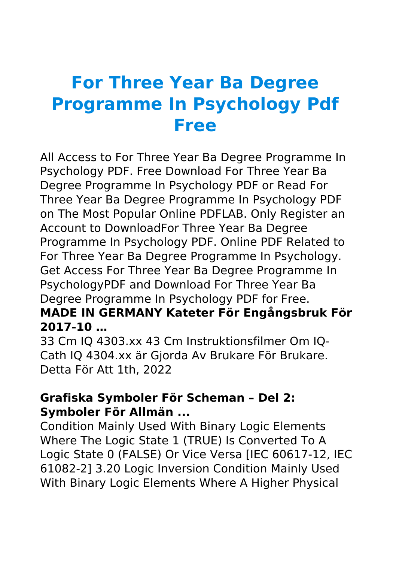# **For Three Year Ba Degree Programme In Psychology Pdf Free**

All Access to For Three Year Ba Degree Programme In Psychology PDF. Free Download For Three Year Ba Degree Programme In Psychology PDF or Read For Three Year Ba Degree Programme In Psychology PDF on The Most Popular Online PDFLAB. Only Register an Account to DownloadFor Three Year Ba Degree Programme In Psychology PDF. Online PDF Related to For Three Year Ba Degree Programme In Psychology. Get Access For Three Year Ba Degree Programme In PsychologyPDF and Download For Three Year Ba Degree Programme In Psychology PDF for Free.

#### **MADE IN GERMANY Kateter För Engångsbruk För 2017-10 …**

33 Cm IQ 4303.xx 43 Cm Instruktionsfilmer Om IQ-Cath IQ 4304.xx är Gjorda Av Brukare För Brukare. Detta För Att 1th, 2022

#### **Grafiska Symboler För Scheman – Del 2: Symboler För Allmän ...**

Condition Mainly Used With Binary Logic Elements Where The Logic State 1 (TRUE) Is Converted To A Logic State 0 (FALSE) Or Vice Versa [IEC 60617-12, IEC 61082-2] 3.20 Logic Inversion Condition Mainly Used With Binary Logic Elements Where A Higher Physical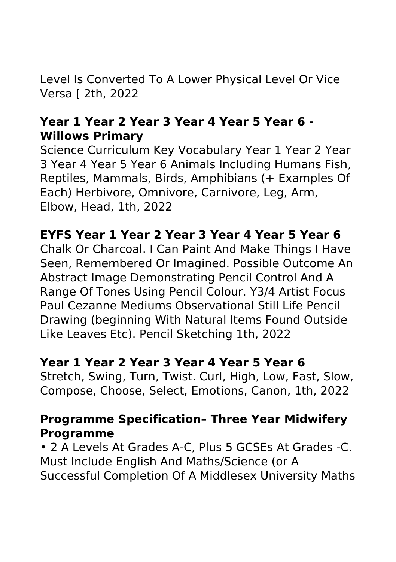Level Is Converted To A Lower Physical Level Or Vice Versa [ 2th, 2022

#### **Year 1 Year 2 Year 3 Year 4 Year 5 Year 6 - Willows Primary**

Science Curriculum Key Vocabulary Year 1 Year 2 Year 3 Year 4 Year 5 Year 6 Animals Including Humans Fish, Reptiles, Mammals, Birds, Amphibians (+ Examples Of Each) Herbivore, Omnivore, Carnivore, Leg, Arm, Elbow, Head, 1th, 2022

#### **EYFS Year 1 Year 2 Year 3 Year 4 Year 5 Year 6**

Chalk Or Charcoal. I Can Paint And Make Things I Have Seen, Remembered Or Imagined. Possible Outcome An Abstract Image Demonstrating Pencil Control And A Range Of Tones Using Pencil Colour. Y3/4 Artist Focus Paul Cezanne Mediums Observational Still Life Pencil Drawing (beginning With Natural Items Found Outside Like Leaves Etc). Pencil Sketching 1th, 2022

#### **Year 1 Year 2 Year 3 Year 4 Year 5 Year 6**

Stretch, Swing, Turn, Twist. Curl, High, Low, Fast, Slow, Compose, Choose, Select, Emotions, Canon, 1th, 2022

#### **Programme Specification– Three Year Midwifery Programme**

• 2 A Levels At Grades A-C, Plus 5 GCSEs At Grades -C. Must Include English And Maths/Science (or A Successful Completion Of A Middlesex University Maths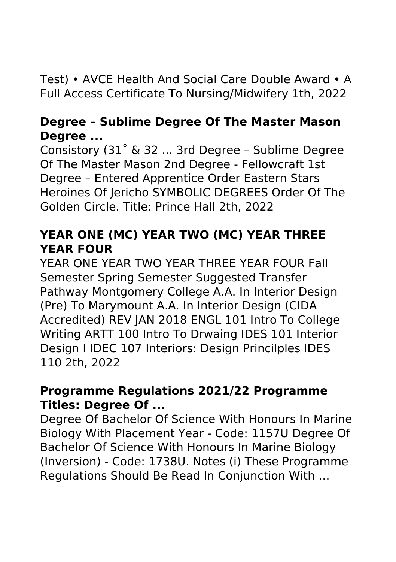# Test) • AVCE Health And Social Care Double Award • A Full Access Certificate To Nursing/Midwifery 1th, 2022

#### **Degree – Sublime Degree Of The Master Mason Degree ...**

Consistory (31˚ & 32 ... 3rd Degree – Sublime Degree Of The Master Mason 2nd Degree - Fellowcraft 1st Degree – Entered Apprentice Order Eastern Stars Heroines Of Jericho SYMBOLIC DEGREES Order Of The Golden Circle. Title: Prince Hall 2th, 2022

# **YEAR ONE (MC) YEAR TWO (MC) YEAR THREE YEAR FOUR**

YEAR ONE YEAR TWO YEAR THREE YEAR FOUR Fall Semester Spring Semester Suggested Transfer Pathway Montgomery College A.A. In Interior Design (Pre) To Marymount A.A. In Interior Design (CIDA Accredited) REV JAN 2018 ENGL 101 Intro To College Writing ARTT 100 Intro To Drwaing IDES 101 Interior Design I IDEC 107 Interiors: Design Princilples IDES 110 2th, 2022

#### **Programme Regulations 2021/22 Programme Titles: Degree Of ...**

Degree Of Bachelor Of Science With Honours In Marine Biology With Placement Year - Code: 1157U Degree Of Bachelor Of Science With Honours In Marine Biology (Inversion) - Code: 1738U. Notes (i) These Programme Regulations Should Be Read In Conjunction With …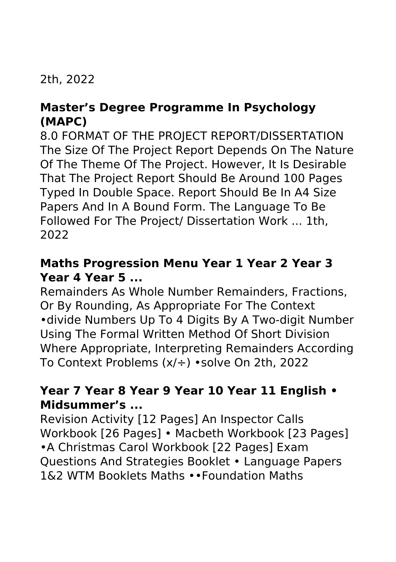# 2th, 2022

## **Master's Degree Programme In Psychology (MAPC)**

8.0 FORMAT OF THE PROJECT REPORT/DISSERTATION The Size Of The Project Report Depends On The Nature Of The Theme Of The Project. However, It Is Desirable That The Project Report Should Be Around 100 Pages Typed In Double Space. Report Should Be In A4 Size Papers And In A Bound Form. The Language To Be Followed For The Project/ Dissertation Work ... 1th, 2022

#### **Maths Progression Menu Year 1 Year 2 Year 3 Year 4 Year 5 ...**

Remainders As Whole Number Remainders, Fractions, Or By Rounding, As Appropriate For The Context •divide Numbers Up To 4 Digits By A Two-digit Number Using The Formal Written Method Of Short Division Where Appropriate, Interpreting Remainders According To Context Problems (x/÷) •solve On 2th, 2022

## **Year 7 Year 8 Year 9 Year 10 Year 11 English • Midsummer's ...**

Revision Activity [12 Pages] An Inspector Calls Workbook [26 Pages] • Macbeth Workbook [23 Pages] •A Christmas Carol Workbook [22 Pages] Exam Questions And Strategies Booklet • Language Papers 1&2 WTM Booklets Maths ••Foundation Maths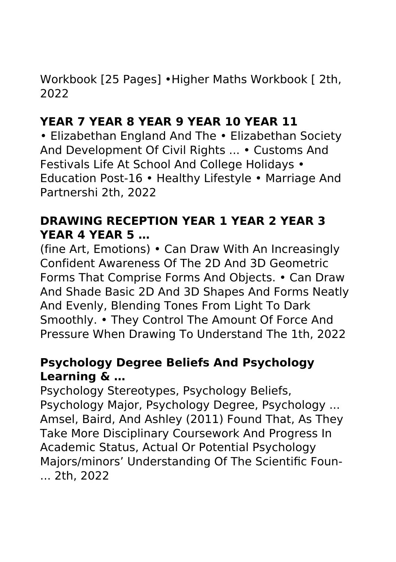Workbook [25 Pages] •Higher Maths Workbook [ 2th, 2022

# **YEAR 7 YEAR 8 YEAR 9 YEAR 10 YEAR 11**

• Elizabethan England And The • Elizabethan Society And Development Of Civil Rights ... • Customs And Festivals Life At School And College Holidays • Education Post-16 • Healthy Lifestyle • Marriage And Partnershi 2th, 2022

## **DRAWING RECEPTION YEAR 1 YEAR 2 YEAR 3 YEAR 4 YEAR 5 …**

(fine Art, Emotions) • Can Draw With An Increasingly Confident Awareness Of The 2D And 3D Geometric Forms That Comprise Forms And Objects. • Can Draw And Shade Basic 2D And 3D Shapes And Forms Neatly And Evenly, Blending Tones From Light To Dark Smoothly. • They Control The Amount Of Force And Pressure When Drawing To Understand The 1th, 2022

#### **Psychology Degree Beliefs And Psychology Learning & …**

Psychology Stereotypes, Psychology Beliefs, Psychology Major, Psychology Degree, Psychology ... Amsel, Baird, And Ashley (2011) Found That, As They Take More Disciplinary Coursework And Progress In Academic Status, Actual Or Potential Psychology Majors/minors' Understanding Of The Scientific Foun- ... 2th, 2022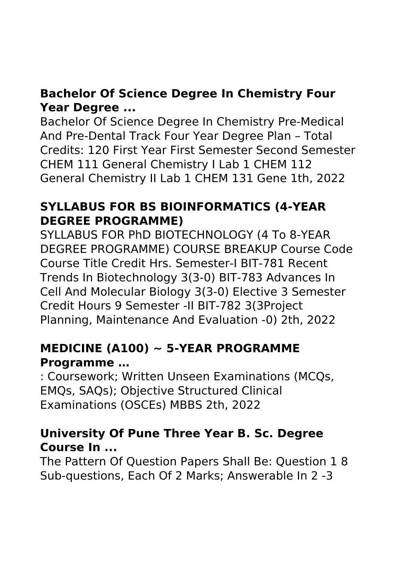# **Bachelor Of Science Degree In Chemistry Four Year Degree ...**

Bachelor Of Science Degree In Chemistry Pre-Medical And Pre-Dental Track Four Year Degree Plan – Total Credits: 120 First Year First Semester Second Semester CHEM 111 General Chemistry I Lab 1 CHEM 112 General Chemistry II Lab 1 CHEM 131 Gene 1th, 2022

# **SYLLABUS FOR BS BIOINFORMATICS (4-YEAR DEGREE PROGRAMME)**

SYLLABUS FOR PhD BIOTECHNOLOGY (4 To 8-YEAR DEGREE PROGRAMME) COURSE BREAKUP Course Code Course Title Credit Hrs. Semester-I BIT-781 Recent Trends In Biotechnology 3(3-0) BIT-783 Advances In Cell And Molecular Biology 3(3-0) Elective 3 Semester Credit Hours 9 Semester -II BIT-782 3(3Project Planning, Maintenance And Evaluation -0) 2th, 2022

# **MEDICINE (A100) ~ 5-YEAR PROGRAMME Programme …**

: Coursework; Written Unseen Examinations (MCQs, EMQs, SAQs); Objective Structured Clinical Examinations (OSCEs) MBBS 2th, 2022

## **University Of Pune Three Year B. Sc. Degree Course In ...**

The Pattern Of Question Papers Shall Be: Question 1 8 Sub-questions, Each Of 2 Marks; Answerable In 2 -3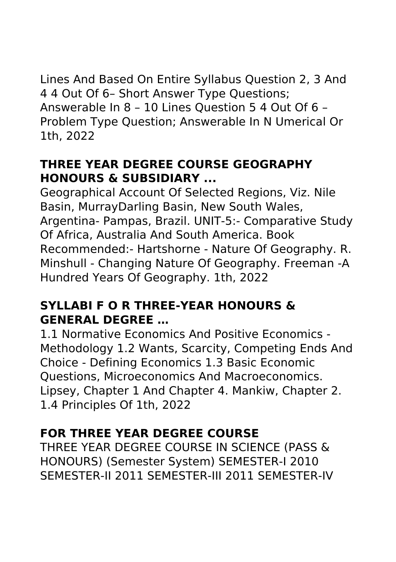Lines And Based On Entire Syllabus Question 2, 3 And 4 4 Out Of 6– Short Answer Type Questions; Answerable In 8 – 10 Lines Question 5 4 Out Of 6 – Problem Type Question; Answerable In N Umerical Or 1th, 2022

## **THREE YEAR DEGREE COURSE GEOGRAPHY HONOURS & SUBSIDIARY ...**

Geographical Account Of Selected Regions, Viz. Nile Basin, MurrayDarling Basin, New South Wales, Argentina- Pampas, Brazil. UNIT-5:- Comparative Study Of Africa, Australia And South America. Book Recommended:- Hartshorne - Nature Of Geography. R. Minshull - Changing Nature Of Geography. Freeman -A Hundred Years Of Geography. 1th, 2022

## **SYLLABI F O R THREE-YEAR HONOURS & GENERAL DEGREE …**

1.1 Normative Economics And Positive Economics - Methodology 1.2 Wants, Scarcity, Competing Ends And Choice - Defining Economics 1.3 Basic Economic Questions, Microeconomics And Macroeconomics. Lipsey, Chapter 1 And Chapter 4. Mankiw, Chapter 2. 1.4 Principles Of 1th, 2022

# **FOR THREE YEAR DEGREE COURSE**

THREE YEAR DEGREE COURSE IN SCIENCE (PASS & HONOURS) (Semester System) SEMESTER-I 2010 SEMESTER-II 2011 SEMESTER-III 2011 SEMESTER-IV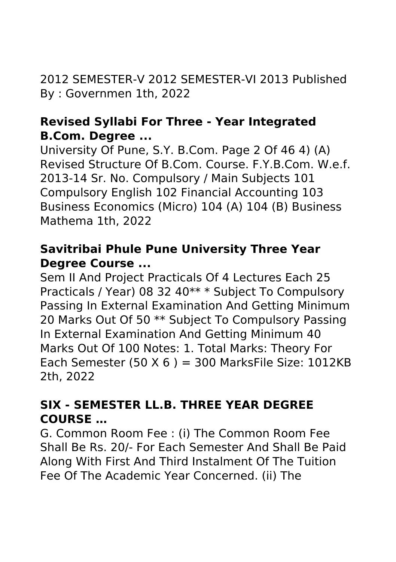2012 SEMESTER-V 2012 SEMESTER-VI 2013 Published By : Governmen 1th, 2022

#### **Revised Syllabi For Three - Year Integrated B.Com. Degree ...**

University Of Pune, S.Y. B.Com. Page 2 Of 46 4) (A) Revised Structure Of B.Com. Course. F.Y.B.Com. W.e.f. 2013-14 Sr. No. Compulsory / Main Subjects 101 Compulsory English 102 Financial Accounting 103 Business Economics (Micro) 104 (A) 104 (B) Business Mathema 1th, 2022

# **Savitribai Phule Pune University Three Year Degree Course ...**

Sem II And Project Practicals Of 4 Lectures Each 25 Practicals / Year) 08 32 40\*\* \* Subject To Compulsory Passing In External Examination And Getting Minimum 20 Marks Out Of 50 \*\* Subject To Compulsory Passing In External Examination And Getting Minimum 40 Marks Out Of 100 Notes: 1. Total Marks: Theory For Each Semester (50  $X$  6) = 300 MarksFile Size: 1012KB 2th, 2022

# **SIX - SEMESTER LL.B. THREE YEAR DEGREE COURSE …**

G. Common Room Fee : (i) The Common Room Fee Shall Be Rs. 20/- For Each Semester And Shall Be Paid Along With First And Third Instalment Of The Tuition Fee Of The Academic Year Concerned. (ii) The